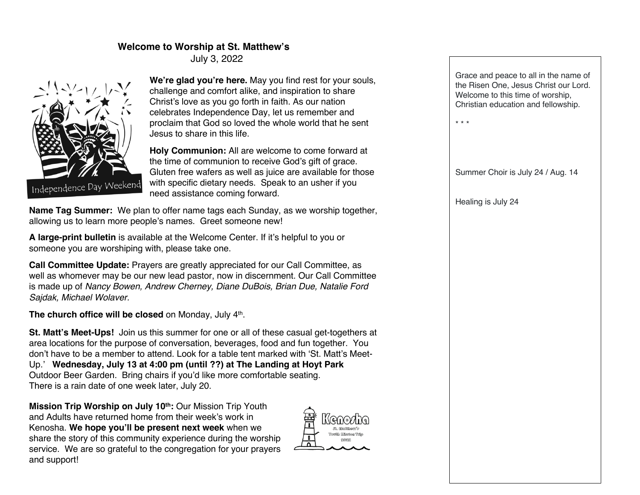# **Welcome to Worship at St. Matthew's**

July 3, 2022



**We're glad you're here.** May you find rest for your souls, challenge and comfort alike, and inspiration to share Christ's love as you go forth in faith. As our nation celebrates Independence Day, let us remember and proclaim that God so loved the whole world that he sent Jesus to share in this life.

**Holy Communion:** All are welcome to come forward at the time of communion to receive God's gift of grace. Gluten free wafers as well as juice are available for those with specific dietary needs. Speak to an usher if you need assistance coming forward.

**Name Tag Summer:** We plan to offer name tags each Sunday, as we worship together, allowing us to learn more people's names. Greet someone new!

**A large-print bulletin** is available at the Welcome Center. If it's helpful to you or someone you are worshiping with, please take one.

**Call Committee Update:** Prayers are greatly appreciated for our Call Committee, as well as whomever may be our new lead pastor, now in discernment. Our Call Committee is made up of *Nancy Bowen, Andrew Cherney, Diane DuBois, Brian Due, Natalie Ford Sajdak, Michael Wolaver.*

**The church office will be closed** on Monday, July 4th.

**St. Matt's Meet-Ups!** Join us this summer for one or all of these casual get-togethers at area locations for the purpose of conversation, beverages, food and fun together. You don't have to be a member to attend. Look for a table tent marked with 'St. Matt's Meet-Up.' **Wednesday, July 13 at 4:00 pm (until ??) at The Landing at Hoyt Park**  Outdoor Beer Garden. Bring chairs if you'd like more comfortable seating. There is a rain date of one week later, July 20.

**Mission Trip Worship on July 10th: Our Mission Trip Youth** and Adults have returned home from their week's work in Kenosha. **We hope you'll be present next week** when we share the story of this community experience during the worship service. We are so grateful to the congregation for your prayers and support!

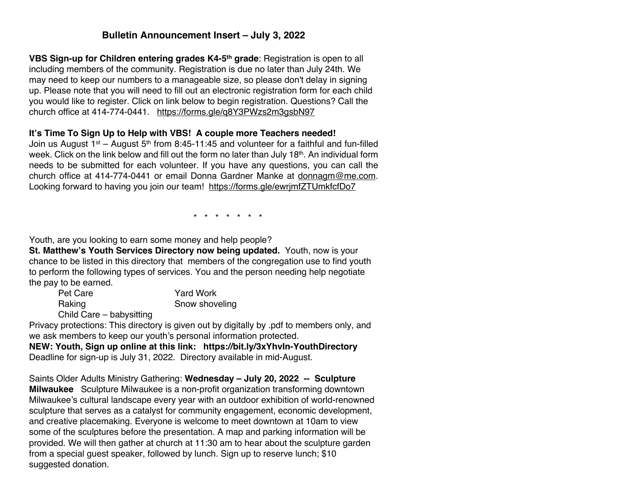## **Bulletin Announcement Insert – July 3, 2022**

**VBS Sign-up for Children entering grades K4-5th grade**: Registration is open to all including members of the community. Registration is due no later than July 24th. We may need to keep our numbers to a manageable size, so please don't delay in signing up. Please note that you will need to fill out an electronic registration form for each child you would like to register. Click on link below to begin registration. Questions? Call the church office at 414-774-0441. https://forms.gle/g8Y3PWzs2m3gsbN97

### **It's Time To Sign Up to Help with VBS! A couple more Teachers needed!**

Join us August  $1^{st}$  – August  $5^{th}$  from 8:45-11:45 and volunteer for a faithful and fun-filled week. Click on the link below and fill out the form no later than July 18<sup>th</sup>. An individual form needs to be submitted for each volunteer. If you have any questions, you can call the church office at 414-774-0441 or email Donna Gardner Manke at donnagm@me.com. Looking forward to having you join our team! https://forms.gle/ewrjmfZTUmkfcfDo7

\* \* \* \* \* \* \*

Youth, are you looking to earn some money and help people?

**St. Matthew's Youth Services Directory now being updated.** Youth, now is your chance to be listed in this directory that members of the congregation use to find youth to perform the following types of services. You and the person needing help negotiate the pay to be earned.

| Pet Care                 | <b>Yard Work</b> |
|--------------------------|------------------|
| Raking                   | Snow shoveling   |
| Child Care – babysitting |                  |

Privacy protections: This directory is given out by digitally by .pdf to members only, and we ask members to keep our youth's personal information protected.

**NEW: Youth, Sign up online at this link: https://bit.ly/3xYhvIn-YouthDirectory** Deadline for sign-up is July 31, 2022. Directory available in mid-August.

Saints Older Adults Ministry Gathering: **Wednesday – July 20, 2022 -- Sculpture Milwaukee** Sculpture Milwaukee is a non-profit organization transforming downtown Milwaukee's cultural landscape every year with an outdoor exhibition of world-renowned sculpture that serves as a catalyst for community engagement, economic development, and creative placemaking. Everyone is welcome to meet downtown at 10am to view some of the sculptures before the presentation. A map and parking information will be provided. We will then gather at church at 11:30 am to hear about the sculpture garden from a special guest speaker, followed by lunch. Sign up to reserve lunch; \$10 suggested donation.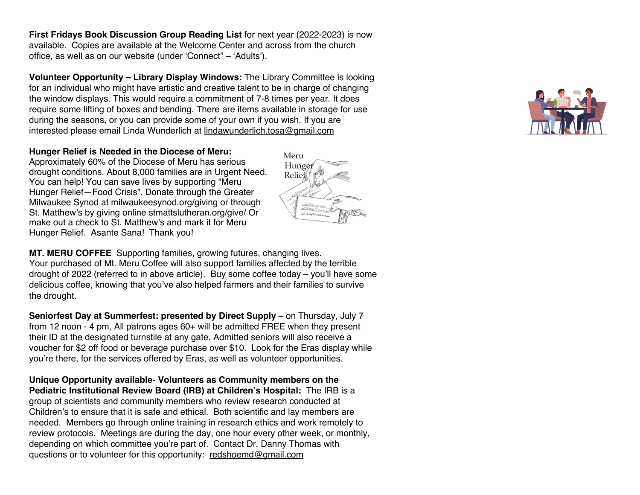**First Fridays Book Discussion Group Reading List** for next year (2022-2023) is now available. Copies are available at the Welcome Center and across from the church office, as well as on our website (under 'Connect" – 'Adults').

**Volunteer Opportunity – Library Display Windows:** The Library Committee is looking for an individual who might have artistic and creative talent to be in charge of changing the window displays. This would require a commitment of 7-8 times per year. It does require some lifting of boxes and bending. There are items available in storage for use during the seasons, or you can provide some of your own if you wish. If you are interested please email Linda Wunderlich at lindawunderlich.tosa@gmail.com

## **Hunger Relief is Needed in the Diocese of Meru:**

Approximately 60% of the Diocese of Meru has serious drought conditions. About 8,000 families are in Urgent Need. You can help! You can save lives by supporting "Meru Hunger Relief—Food Crisis". Donate through the Greater Milwaukee Synod at milwaukeesynod.org/giving or through St. Matthew's by giving online stmattslutheran.org/give/ Or make out a check to St. Matthew's and mark it for Meru Hunger Relief. Asante Sana! Thank you!



**MT. MERU COFFEE** Supporting families, growing futures, changing lives. Your purchased of Mt. Meru Coffee will also support families affected by the terrible drought of 2022 (referred to in above article). Buy some coffee today – you'll have some delicious coffee, knowing that you've also helped farmers and their families to survive the drought.

**Seniorfest Day at Summerfest: presented by Direct Supply** – on Thursday, July 7 from 12 noon - 4 pm, All patrons ages 60+ will be admitted FREE when they present their ID at the designated turnstile at any gate. Admitted seniors will also receive a voucher for \$2 off food or beverage purchase over \$10. Look for the Eras display while you're there, for the services offered by Eras, as well as volunteer opportunities.

**Unique Opportunity available- Volunteers as Community members on the Pediatric Institutional Review Board (IRB) at Children's Hospital:** The IRB is a group of scientists and community members who review research conducted at Children's to ensure that it is safe and ethical. Both scientific and lay members are needed. Members go through online training in research ethics and work remotely to review protocols. Meetings are during the day, one hour every other week, or monthly, depending on which committee you're part of. Contact Dr. Danny Thomas with questions or to volunteer for this opportunity: redshoemd@gmail.com